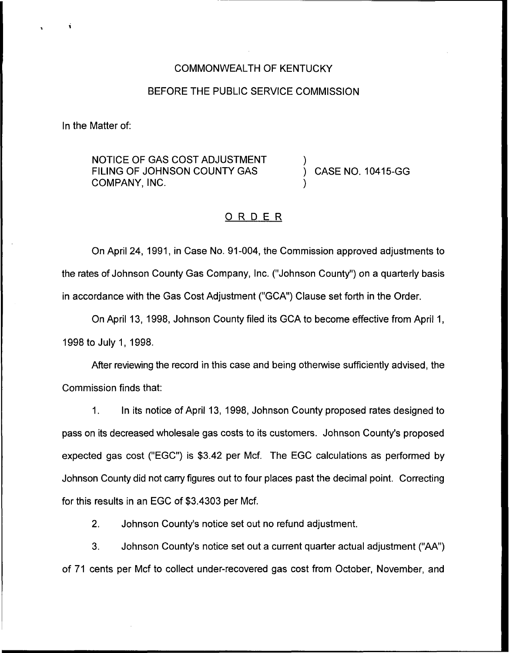### COMMONWEALTH OF KENTUCKY

## BEFORE THE PUBLIC SERVICE COMMISSION

In the Matter of:

NOTICE OF GAS COST ADJUSTMENT FILING OF JOHNSON COUNTY GAS COMPANY, INC.

) CASE NO. 10415-GG

)

)

### ORDER

On April 24, 1991, in Case No. 91-004, the Commission approved adjustments to the rates of Johnson County Gas Company, Inc. ("Johnson County") on a quarterly basis in accordance with the Gas Cost Adjustment ("GCA") Clause set forth in the Order.

On April 13, 1998, Johnson County filed its GCA to become effective from April 1, 1998 to July 1, 1998.

After reviewing the record in this case and being otherwise sufficiently advised, the Commission finds that:

1. In its notice of April 13, 1998, Johnson County proposed rates designed to pass on its decreased wholesale gas costs to its customers. Johnson County's proposed expected gas cost ("EGC") is \$3.42 per Mcf. The EGC calculations as performed by Johnson County did not carry figures out to four places past the decimal point. Correcting for this results in an EGC of \$3.4303 per Mcf.

2. Johnson County's notice set out no refund adjustment.

3. Johnson County's notice set out a current quarter actual adjustment ("AA") of 71 cents per Mcf to collect under-recovered gas cost from October, November, and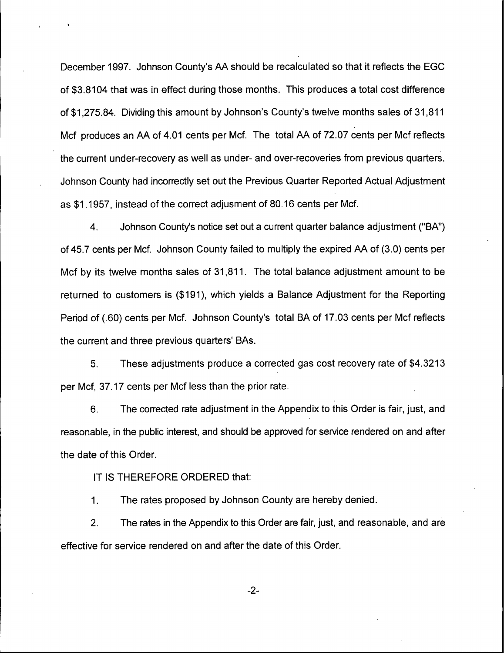December 1997. Johnson County's AA should be recalculated so that it reflects the EGC of \$3.8104 that was in effect during those months. This produces a total cost difference of \$1,275.84. Dividing this amount by Johnson's County's twelve months sales of 31,811 Mcf produces an AA of 4.01 cents per Mcf. The total AA of 72.07 cents per Mcf reflects the current under-recovery as well as under- and over-recoveries from previous quarters. Johnson County had incorrectly set out the Previous Quarter Reported Actual Adjustment as \$1.1957, instead of the correct adjusment of 80.16 cents per Mcf.

4. Johnson County's notice set out a current quarter balance adjustment ("BA") of 45.7 cents per Mcf. Johnson County failed to multiply the expired AA of (3.0) cents per Mcf by its twelve months sales of 31,811. The total balance adjustment amount to be returned to customers is (\$191), which yields a Balance Adjustment for the Reporting Period of (.60) cents per Mcf. Johnson County's total BA of 17.03 cents per Mcf reflects the current and three previous quarters' BAs.

5, These adjustments produce a corrected gas cost recovery rate of \$4.3213 per Mcf, 37.17 cents per Mcf less than the prior rate.

6. The corrected rate adjustment in the Appendix to this Order is fair, just, and reasonable, in the public interest, and should be approved for service rendered on and after the date of this Order.

IT IS THEREFORE ORDERED that:

The rates proposed by Johnson County are hereby denied.  $\mathbf{1}$ .

2. The rates in the Appendix to this Order are fair, just, and reasonable, and are effective for service rendered on and after the date of this Order.

-2-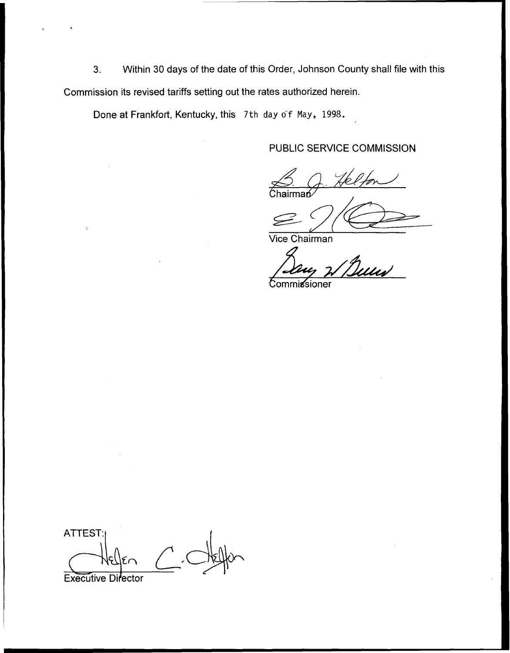3. Within 30 days of the date of this Order, Johnson County shall file with this Commission its revised tariffs setting out the rates authorized herein.

Done at Frankfort, Kentucky, this 7th day of May, 1998.

# PUBLIC SERVICE COMMISSION

Chairma& S. Q. Helfon

 $\leq$ 

Vice Chairman

Commissioner

**ATTEST:** 

Executive Director